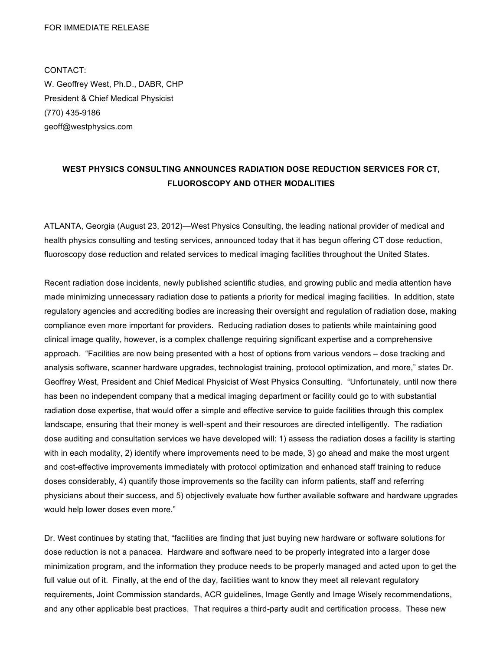## FOR IMMEDIATE RELEASE

CONTACT: W. Geoffrey West, Ph.D., DABR, CHP President & Chief Medical Physicist (770) 435-9186 geoff@westphysics.com

## **WEST PHYSICS CONSULTING ANNOUNCES RADIATION DOSE REDUCTION SERVICES FOR CT, FLUOROSCOPY AND OTHER MODALITIES**

ATLANTA, Georgia (August 23, 2012)—West Physics Consulting, the leading national provider of medical and health physics consulting and testing services, announced today that it has begun offering CT dose reduction, fluoroscopy dose reduction and related services to medical imaging facilities throughout the United States.

Recent radiation dose incidents, newly published scientific studies, and growing public and media attention have made minimizing unnecessary radiation dose to patients a priority for medical imaging facilities. In addition, state regulatory agencies and accrediting bodies are increasing their oversight and regulation of radiation dose, making compliance even more important for providers. Reducing radiation doses to patients while maintaining good clinical image quality, however, is a complex challenge requiring significant expertise and a comprehensive approach. "Facilities are now being presented with a host of options from various vendors – dose tracking and analysis software, scanner hardware upgrades, technologist training, protocol optimization, and more," states Dr. Geoffrey West, President and Chief Medical Physicist of West Physics Consulting. "Unfortunately, until now there has been no independent company that a medical imaging department or facility could go to with substantial radiation dose expertise, that would offer a simple and effective service to guide facilities through this complex landscape, ensuring that their money is well-spent and their resources are directed intelligently. The radiation dose auditing and consultation services we have developed will: 1) assess the radiation doses a facility is starting with in each modality, 2) identify where improvements need to be made, 3) go ahead and make the most urgent and cost-effective improvements immediately with protocol optimization and enhanced staff training to reduce doses considerably, 4) quantify those improvements so the facility can inform patients, staff and referring physicians about their success, and 5) objectively evaluate how further available software and hardware upgrades would help lower doses even more."

Dr. West continues by stating that, "facilities are finding that just buying new hardware or software solutions for dose reduction is not a panacea. Hardware and software need to be properly integrated into a larger dose minimization program, and the information they produce needs to be properly managed and acted upon to get the full value out of it. Finally, at the end of the day, facilities want to know they meet all relevant regulatory requirements, Joint Commission standards, ACR guidelines, Image Gently and Image Wisely recommendations, and any other applicable best practices. That requires a third-party audit and certification process. These new